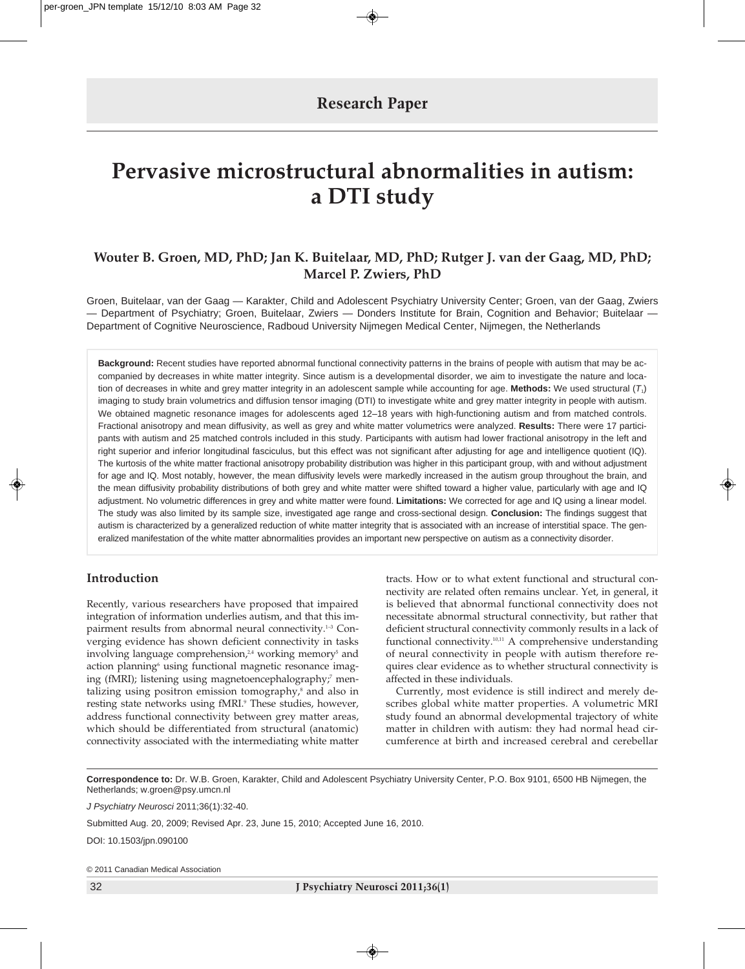# **Pervasive microstructural abnormalities in autism: a DTI study**

# **Wouter B. Groen, MD, PhD; Jan K. Buitelaar, MD, PhD; Rutger J. van der Gaag, MD, PhD; Marcel P. Zwiers, PhD**

Groen, Buitelaar, van der Gaag — Karakter, Child and Adolescent Psychiatry University Center; Groen, van der Gaag, Zwiers — Department of Psychiatry; Groen, Buitelaar, Zwiers — Donders Institute for Brain, Cognition and Behavior; Buitelaar — Department of Cognitive Neuroscience, Radboud University Nijmegen Medical Center, Nijmegen, the Netherlands

**Background:** Recent studies have reported abnormal functional connectivity patterns in the brains of people with autism that may be accompanied by decreases in white matter integrity. Since autism is a developmental disorder, we aim to investigate the nature and location of decreases in white and grey matter integrity in an adolescent sample while accounting for age. **Methods:** We used structural (*T*1) imaging to study brain volumetrics and diffusion tensor imaging (DTI) to investigate white and grey matter integrity in people with autism. We obtained magnetic resonance images for adolescents aged 12–18 years with high-functioning autism and from matched controls. Fractional anisotropy and mean diffusivity, as well as grey and white matter volumetrics were analyzed. **Results:** There were 17 participants with autism and 25 matched controls included in this study. Participants with autism had lower fractional anisotropy in the left and right superior and inferior longitudinal fasciculus, but this effect was not significant after adjusting for age and intelligence quotient (IQ). The kurtosis of the white matter fractional anisotropy probability distribution was higher in this participant group, with and without adjustment for age and IQ. Most notably, however, the mean diffusivity levels were markedly increased in the autism group throughout the brain, and the mean diffusivity probability distributions of both grey and white matter were shifted toward a higher value, particularly with age and IQ adjustment. No volumetric differences in grey and white matter were found. **Limitations:** We corrected for age and IQ using a linear model. The study was also limited by its sample size, investigated age range and cross-sectional design. **Conclusion:** The findings suggest that autism is characterized by a generalized reduction of white matter integrity that is associated with an increase of interstitial space. The generalized manifestation of the white matter abnormalities provides an important new perspective on autism as a connectivity disorder.

# **Introduction**

Recently, various researchers have proposed that impaired integration of information underlies autism, and that this impairment results from abnormal neural connectivity.1–3 Converging evidence has shown deficient connectivity in tasks involving language comprehension, $24$  working memory<sup>5</sup> and action planning<sup>6</sup> using functional magnetic resonance imaging (fMRI); listening using magnetoencephalography;<sup>7</sup> mentalizing using positron emission tomography, $\delta$  and also in resting state networks using fMRI.<sup>9</sup> These studies, however, address functional connectivity between grey matter areas, which should be differentiated from structural (anatomic) connectivity associated with the intermediating white matter

tracts. How or to what extent functional and structural connectivity are related often remains unclear. Yet, in general, it is believed that abnormal functional connectivity does not necessitate abnormal structural connectivity, but rather that deficient structural connectivity commonly results in a lack of functional connectivity.10,11 A comprehensive understanding of neural connectivity in people with autism therefore requires clear evidence as to whether structural connectivity is affected in these individuals.

Currently, most evidence is still indirect and merely describes global white matter properties. A volumetric MRI study found an abnormal developmental trajectory of white matter in children with autism: they had normal head circumference at birth and increased cerebral and cerebellar

**Correspondence to:** Dr. W.B. Groen, Karakter, Child and Adolescent Psychiatry University Center, P.O. Box 9101, 6500 HB Nijmegen, the Netherlands; w.groen@psy.umcn.nl

*J Psychiatry Neurosci* 2011;36(1):32-40.

Submitted Aug. 20, 2009; Revised Apr. 23, June 15, 2010; Accepted June 16, 2010.

DOI: 10.1503/jpn.090100

© 2011 Canadian Medical Association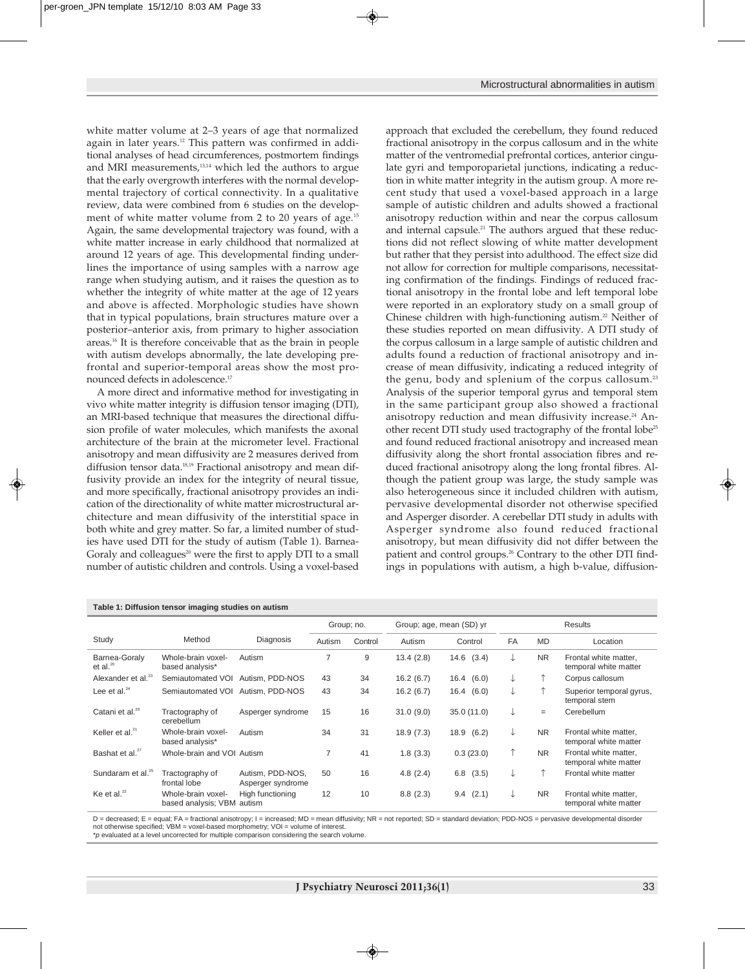white matter volume at 2–3 years of age that normalized again in later years.<sup>12</sup> This pattern was confirmed in additional analyses of head circumferences, postmortem findings and MRI measurements,<sup>13,14</sup> which led the authors to argue that the early overgrowth interferes with the normal developmental trajectory of cortical connectivity. In a qualitative review, data were combined from 6 studies on the development of white matter volume from 2 to 20 years of age.<sup>15</sup> Again, the same developmental trajectory was found, with a white matter increase in early childhood that normalized at around 12 years of age. This developmental finding underlines the importance of using samples with a narrow age range when studying autism, and it raises the question as to whether the integrity of white matter at the age of 12 years and above is affected. Morphologic studies have shown that in typical populations, brain structures mature over a posterior-anterior axis, from primary to higher association areas.16 It is therefore conceivable that as the brain in people with autism develops abnormally, the late developing prefrontal and superior-temporal areas show the most pronounced defects in adolescence.<sup>17</sup>

A more direct and informative method for investigating in vivo white matter integrity is diffusion tensor imaging (DTI), an MRI-based technique that measures the directional diffusion profile of water molecules, which manifests the axonal architecture of the brain at the micrometer level. Fractional anisotropy and mean diffusivity are 2 measures derived from diffusion tensor data.<sup>18,19</sup> Fractional anisotropy and mean diffusivity provide an index for the integrity of neural tissue, and more specifically, fractional anisotropy provides an indication of the directionality of white matter microstructural architecture and mean diffusivity of the interstitial space in both white and grey matter. So far, a limited number of studies have used DTI for the study of autism (Table 1). Barnea-Goraly and colleagues<sup>20</sup> were the first to apply DTI to a small number of autistic children and controls. Using a voxel-based approach that excluded the cerebellum, they found reduced fractional anisotropy in the corpus callosum and in the white matter of the ventromedial prefrontal cortices, anterior cingulate gyri and temporoparietal junctions, indicating a reduction in white matter integrity in the autism group. A more recent study that used a voxel-based approach in a large sample of autistic children and adults showed a fractional anisotropy reduction within and near the corpus callosum and internal capsule.<sup>21</sup> The authors argued that these reductions did not reflect slowing of white matter development but rather that they persist into adulthood. The effect size did not allow for correction for multiple comparisons, necessitating confirmation of the findings. Findings of reduced fractional anisotropy in the frontal lobe and left temporal lobe were reported in an exploratory study on a small group of Chinese children with high-functioning autism.<sup>22</sup> Neither of these studies reported on mean diffusivity. A DTI study of the corpus callosum in a large sample of autistic children and adults found a reduction of fractional anisotropy and increase of mean diffusivity, indicating a reduced integrity of the genu, body and splenium of the corpus callosum.23 Analysis of the superior temporal gyrus and temporal stem in the same participant group also showed a fractional anisotropy reduction and mean diffusivity increase.<sup>24</sup> Another recent DTI study used tractography of the frontal lobe<sup>25</sup> and found reduced fractional anisotropy and increased mean diffusivity along the short frontal association fibres and reduced fractional anisotropy along the long frontal fibres. Although the patient group was large, the study sample was also heterogeneous since it included children with autism, pervasive developmental disorder not otherwise specified and Asperger disorder. A cerebellar DTI study in adults with Asperger syndrome also found reduced fractional anisotropy, but mean diffusivity did not differ between the patient and control groups.26 Contrary to the other DTI findings in populations with autism, a high b-value, diffusion-

| Table 1: Diffusion tensor imaging studies on autism |                                                  |                                       |            |         |                          |                |                |           |                                                |
|-----------------------------------------------------|--------------------------------------------------|---------------------------------------|------------|---------|--------------------------|----------------|----------------|-----------|------------------------------------------------|
|                                                     |                                                  |                                       | Group; no. |         | Group; age, mean (SD) yr |                | <b>Results</b> |           |                                                |
| Study                                               | Method                                           | Diagnosis                             | Autism     | Control | Autism                   | Control        | FA             | <b>MD</b> | Location                                       |
| Barnea-Goraly<br>et al. $20$                        | Whole-brain voxel-<br>based analysis*            | Autism                                | 7          | 9       | 13.4(2.8)                | $14.6$ $(3.4)$ | ↓              | <b>NR</b> | Frontal white matter,<br>temporal white matter |
| Alexander et al. <sup>23</sup>                      | Semiautomated VOI                                | Autism, PDD-NOS                       | 43         | 34      | 16.2(6.7)                | 16.4(6.0)      | ↓              |           | Corpus callosum                                |
| Lee et al. $24$                                     | Semiautomated VOI Autism, PDD-NOS                |                                       | 43         | 34      | 16.2(6.7)                | (6.0)<br>16.4  | ↓              |           | Superior temporal gyrus,<br>temporal stem      |
| Catani et al. <sup>26</sup>                         | Tractography of<br>cerebellum                    | Asperger syndrome                     | 15         | 16      | 31.0(9.0)                | 35.0(11.0)     | ↓              | $=$       | Cerebellum                                     |
| Keller et al. $^{21}$                               | Whole-brain voxel-<br>based analysis*            | Autism                                | 34         | 31      | 18.9(7.3)                | 18.9<br>(6.2)  | ↓              | <b>NR</b> | Frontal white matter,<br>temporal white matter |
| Bashat et al. <sup>27</sup>                         | Whole-brain and VOI Autism                       |                                       | 7          | 41      | 1.8(3.3)                 | 0.3(23.0)      | ↑              | <b>NR</b> | Frontal white matter,<br>temporal white matter |
| Sundaram et al. <sup>25</sup>                       | Tractography of<br>frontal lobe                  | Autism. PDD-NOS.<br>Asperger syndrome | 50         | 16      | 4.8(2.4)                 | (3.5)<br>6.8   | ↓              | 个         | Frontal white matter                           |
| Ke et al. <sup>22</sup>                             | Whole-brain voxel-<br>based analysis; VBM autism | High functioning                      | 12         | 10      | 8.8(2.3)                 | $9.4$ $(2.1)$  | ↓              | <b>NR</b> | Frontal white matter.<br>temporal white matter |

D = decreased; E = equal; FA = fractional anisotropy; I = increased; MD = mean diffusivity; NR = not reported; SD = standard deviation; PDD-NOS = pervasive developmental disorder not otherwise specified; VBM = voxel-based morphometry; VOI = volume of interest

\**p* evaluated at a level uncorrected for multiple comparison considering the search volume.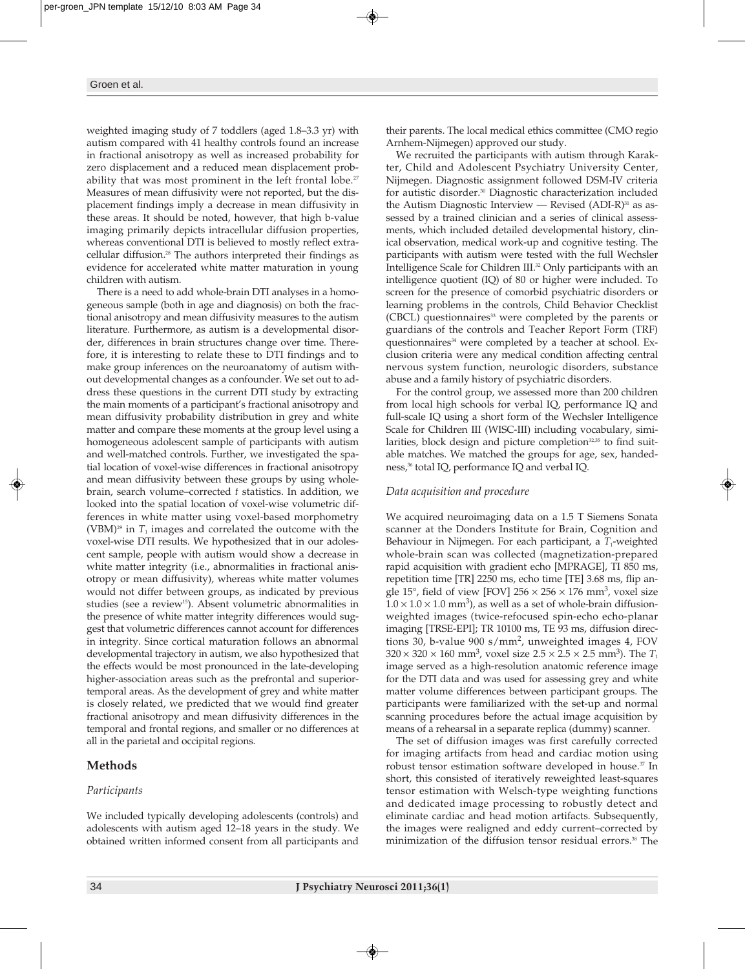weighted imaging study of 7 toddlers (aged 1.8–3.3 yr) with autism compared with 41 healthy controls found an increase in fractional anisotropy as well as increased probability for zero displacement and a reduced mean displacement probability that was most prominent in the left frontal lobe.<sup>27</sup> Measures of mean diffusivity were not reported, but the displacement findings imply a decrease in mean diffusivity in these areas. It should be noted, however, that high b-value imaging primarily depicts intracellular diffusion properties, whereas conventional DTI is believed to mostly reflect extracellular diffusion.<sup>28</sup> The authors interpreted their findings as evidence for accelerated white matter maturation in young children with autism.

There is a need to add whole-brain DTI analyses in a homogeneous sample (both in age and diagnosis) on both the fractional anisotropy and mean diffusivity measures to the autism literature. Furthermore, as autism is a developmental disorder, differences in brain structures change over time. Therefore, it is interesting to relate these to DTI findings and to make group inferences on the neuroanatomy of autism without developmental changes as a confounder. We set out to address these questions in the current DTI study by extracting the main moments of a participant's fractional anisotropy and mean diffusivity probability distribution in grey and white matter and compare these moments at the group level using a homogeneous adolescent sample of participants with autism and well-matched controls. Further, we investigated the spatial location of voxel-wise differences in fractional anisotropy and mean diffusivity between these groups by using wholebrain, search volume– corrected *t* statistics. In addition, we looked into the spatial location of voxel-wise volumetric differences in white matter using voxel-based morphometry (VBM)<sup>29</sup> in  $T_1$  images and correlated the outcome with the voxel-wise DTI results. We hypothesized that in our adolescent sample, people with autism would show a decrease in white matter integrity (i.e., abnormalities in fractional anisotropy or mean diffusivity), whereas white matter volumes would not differ between groups, as indicated by previous studies (see a review<sup>15</sup>). Absent volumetric abnormalities in the presence of white matter integrity differences would suggest that volumetric differences cannot account for differences in integrity. Since cortical maturation follows an abnormal developmental trajectory in autism, we also hypothesized that the effects would be most pronounced in the late-developing higher-association areas such as the prefrontal and superiortemporal areas. As the development of grey and white matter is closely related, we predicted that we would find greater fractional anisotropy and mean diffusivity differences in the temporal and frontal regions, and smaller or no differences at all in the parietal and occipital regions.

# **Methods**

# *Participants*

We included typically developing adolescents (controls) and adolescents with autism aged 12–18 years in the study. We obtained written informed consent from all participants and their parents. The local medical ethics committee (CMO regio Arnhem-Nijmegen) approved our study.

We recruited the participants with autism through Karakter, Child and Adolescent Psychiatry University Center, Nijmegen. Diagnostic assignment followed DSM-IV criteria for autistic disorder.30 Diagnostic characterization included the Autism Diagnostic Interview — Revised  $(ADI-R)^{31}$  as assessed by a trained clinician and a series of clinical assessments, which included detailed developmental history, clinical observation, medical work-up and cognitive testing. The participants with autism were tested with the full Wechsler Intelligence Scale for Children III.32 Only participants with an intelligence quotient (IQ) of 80 or higher were included. To screen for the presence of comorbid psychiatric disorders or learning problems in the controls, Child Behavior Checklist (CBCL) questionnaires<sup>33</sup> were completed by the parents or guardians of the controls and Teacher Report Form (TRF) questionnaires<sup>34</sup> were completed by a teacher at school. Exclusion criteria were any medical condition affecting central nervous system function, neurologic disorders, substance abuse and a family history of psychiatric disorders.

For the control group, we assessed more than 200 children from local high schools for verbal IQ, performance IQ and full-scale IQ using a short form of the Wechsler Intelligence Scale for Children III (WISC-III) including vocabulary, similarities, block design and picture completion<sup>32,35</sup> to find suitable matches. We matched the groups for age, sex, handedness,<sup>36</sup> total IQ, performance IQ and verbal IQ.

## *Data acquisition and procedure*

We acquired neuroimaging data on a 1.5 T Siemens Sonata scanner at the Donders Institute for Brain, Cognition and Behaviour in Nijmegen. For each participant, a T<sub>1</sub>-weighted whole-brain scan was collected (magnetization-prepared rapid acquisition with gradient echo [MPRAGE], TI 850 ms, repetition time [TR] 2250 ms, echo time [TE] 3.68 ms, flip angle 15°, field of view [FOV]  $256 \times 256 \times 176$  mm<sup>3</sup>, voxel size  $1.0 \times 1.0 \times 1.0$  mm<sup>3</sup>), as well as a set of whole-brain diffusionweighted images (twice-refocused spin-echo echo-planar imaging [TRSE-EPI]; TR 10100 ms, TE 93 ms, diffusion directions 30, b-value 900 s/mm2, unweighted images 4, FOV  $320 \times 320 \times 160$  mm<sup>3</sup>, voxel size  $2.5 \times 2.5 \times 2.5$  mm<sup>3</sup>). The  $T_1$ image served as a high-resolution anatomic reference image for the DTI data and was used for assessing grey and white matter volume differences between participant groups. The participants were familiarized with the set-up and normal scanning procedures before the actual image acquisition by means of a rehearsal in a separate replica (dummy) scanner.

The set of diffusion images was first carefully corrected for imaging artifacts from head and cardiac motion using robust tensor estimation software developed in house.<sup>37</sup> In short, this consisted of iteratively reweighted least-squares tensor estimation with Welsch-type weighting functions and dedicated image processing to robustly detect and eliminate cardiac and head motion artifacts. Subsequently, the images were realigned and eddy current–corrected by minimization of the diffusion tensor residual errors.<sup>38</sup> The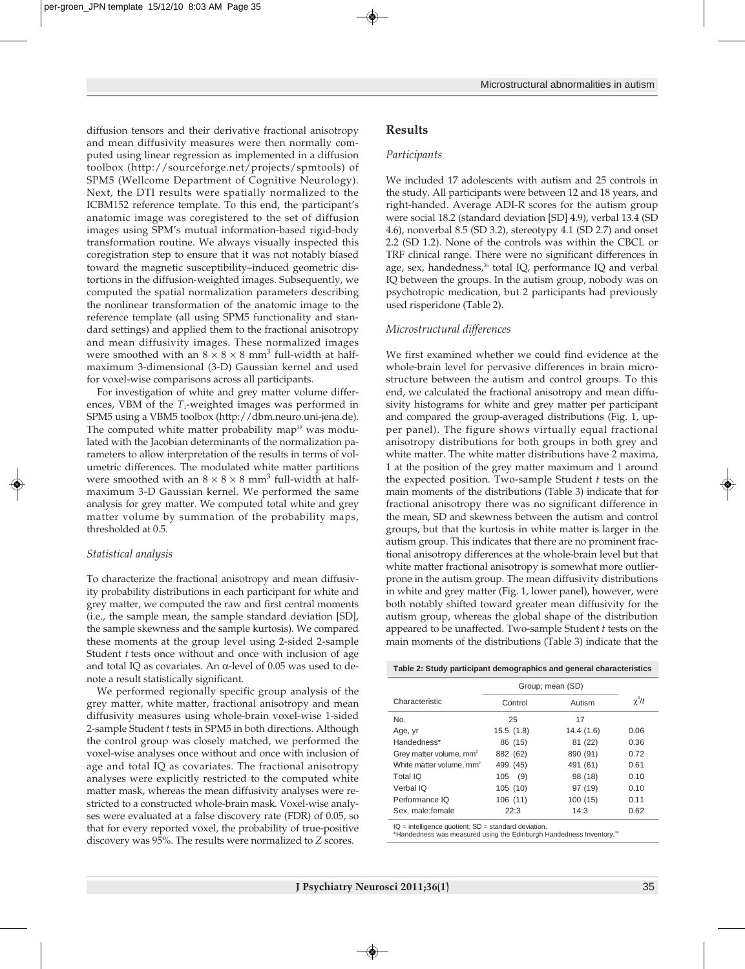diffusion tensors and their derivative fractional anisotropy and mean diffusivity measures were then normally computed using linear regression as implemented in a diffusion toolbox (http ://sourceforge.net/projects/spmtools) of SPM5 (Wellcome Department of Cognitive Neurology). Next, the DTI results were spatially normalized to the ICBM152 reference template. To this end, the participant's anatomic image was coregistered to the set of diffusion images using SPM's mutual information-based rigid-body transformation routine. We always visually inspected this coregistration step to ensure that it was not notably biased toward the magnetic susceptibility–induced geometric distortions in the diffusion-weighted images. Subsequently, we computed the spatial normalization parameters describing the nonlinear transformation of the anatomic image to the reference template (all using SPM5 functionality and standard settings) and applied them to the fractional anisotropy and mean diffusivity images. These normalized images were smoothed with an  $8 \times 8 \times 8$  mm<sup>3</sup> full-width at half maximum 3-dimensional (3-D) Gaussian kernel and used for voxel-wise comparisons across all participants.

For investigation of white and grey matter volume differences, VBM of the *T*<sub>1</sub>-weighted images was performed in SPM5 using a VBM5 toolbox (http://dbm.neuro.uni-jena.de). The computed white matter probability map<sup>39</sup> was modulated with the Jacobian determinants of the normalization parameters to allow interpretation of the results in terms of volumetric differences. The modulated white matter partitions were smoothed with an  $8 \times 8 \times 8$  mm<sup>3</sup> full-width at halfmaximum 3-D Gaussian kernel. We performed the same analysis for grey matter. We computed total white and grey matter volume by summation of the probability maps, thresholded at 0.5.

#### *Statistical analysis*

To characterize the fractional anisotropy and mean diffusivity probability distributions in each participant for white and grey matter, we computed the raw and first central moments (i.e., the sample mean, the sample standard deviation [SD], the sample skewness and the sample kurtosis). We compared these moments at the group level using 2-sided 2-sample Student *t* tests once without and once with inclusion of age and total IQ as covariates. An  $\alpha$ -level of 0.05 was used to denote a result statistically significant.

We performed regionally specific group analysis of the grey matter, white matter, fractional anisotropy and mean diffusivity measures using whole-brain voxel-wise 1-sided 2-sample Student *t* tests in SPM5 in both directions. Although the control group was closely matched, we performed the voxel-wise analyses once without and once with inclusion of age and total IQ as covariates. The fractional anisotropy analyses were explicitly restricted to the computed white matter mask, whereas the mean diffusivity analyses were restricted to a constructed whole-brain mask. Voxel-wise analyses were evaluated at a false discovery rate (FDR) of 0.05, so that for every reported voxel, the probability of true-positive discovery was 95%. The results were normalized to *Z* scores.

## **Results**

#### *Participants*

We included 17 adolescents with autism and 25 controls in the study. All participants were between 12 and 18 years, and right-handed. Average ADI-R scores for the autism group were social 18.2 (standard deviation [SD] 4.9), verbal 13.4 (SD 4.6), nonverbal 8.5 (SD 3.2), stereotypy 4.1 (SD 2.7) and onset 2.2 (SD 1.2). None of the controls was within the CBCL or TRF clinical range. There were no significant differences in age, sex, handedness,<sup>36</sup> total IQ, performance IQ and verbal IQ between the groups. In the autism group, nobody was on psychotropic medication, but 2 participants had previously used risperidone (Table 2).

#### *Microstructural differences*

We first examined whether we could find evidence at the whole-brain level for pervasive differences in brain microstructure between the autism and control groups. To this end, we calculated the fractional anisotropy and mean diffusivity histograms for white and grey matter per participant and compared the group-averaged distributions (Fig. 1, upper panel). The figure shows virtually equal fractional anisotropy distributions for both groups in both grey and white matter. The white matter distributions have 2 maxima, 1 at the position of the grey matter maximum and 1 around the expected position. Two-sample Student *t* tests on the main moments of the distributions (Table 3) indicate that for fractional anisotropy there was no significant difference in the mean, SD and skewness between the autism and control groups, but that the kurtosis in white matter is larger in the autism group. This indicates that there are no prominent fractional anisotropy differences at the whole-brain level but that white matter fractional anisotropy is somewhat more outlierprone in the autism group. The mean diffusivity distributions in white and grey matter (Fig. 1, lower panel), however, were both notably shifted toward greater mean diffusivity for the autism group, whereas the global shape of the distribution appeared to be unaffected. Two-sample Student *t* tests on the main moments of the distributions (Table 3) indicate that the

|  |  | Table 2: Study participant demographics and general characteristics |
|--|--|---------------------------------------------------------------------|
|  |  |                                                                     |

|                                      | Group; mean (SD) |           |            |
|--------------------------------------|------------------|-----------|------------|
| Characteristic                       | Control          | Autism    | $\chi^2/t$ |
| No.                                  | 25               | 17        |            |
| Age, yr                              | 15.5(1.8)        | 14.4(1.6) | 0.06       |
| Handedness*                          | 86 (15)          | 81 (22)   | 0.36       |
| Grey matter volume, mm <sup>2</sup>  | 882 (62)         | 890 (91)  | 0.72       |
| White matter volume, mm <sup>2</sup> | 499 (45)         | 491 (61)  | 0.61       |
| Total IQ                             | (9)<br>105       | 98 (18)   | 0.10       |
| Verbal IQ                            | 105(10)          | 97 (19)   | 0.10       |
| Performance IQ                       | 106(11)          | 100(15)   | 0.11       |
| Sex. male: female                    | 22:3             | 14:3      | 0.62       |

IQ = intelligence quotient; SD = standard deviation.<br>\*Handedness was measured using the Edinburgh Handedness Inventory.<sup>36</sup>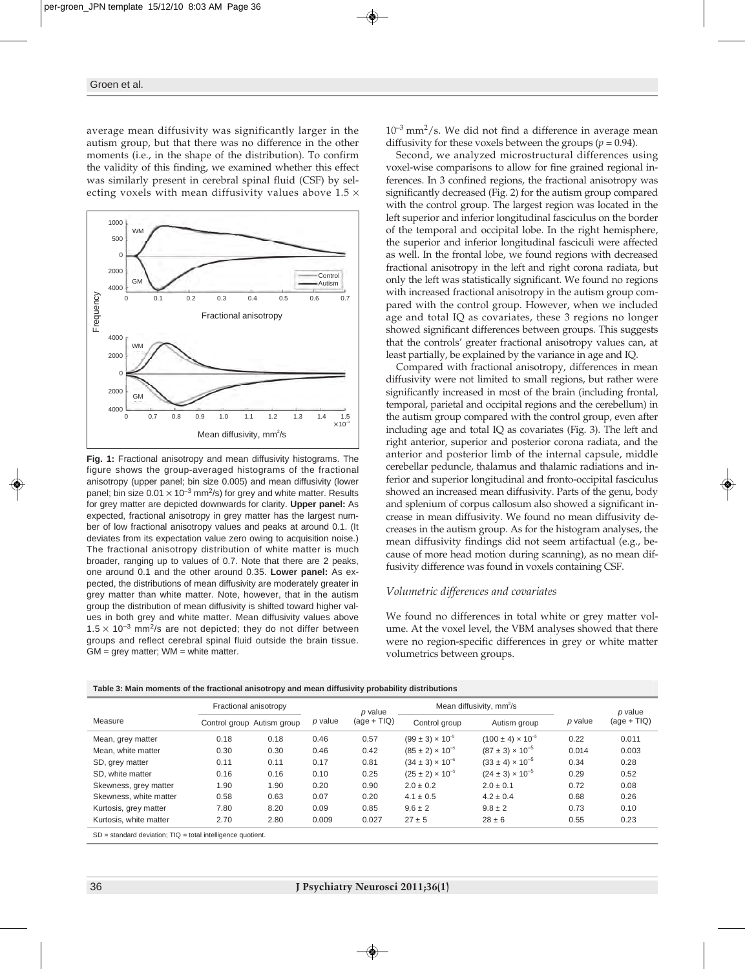average mean diffusivity was significantly larger in the autism group, but that there was no difference in the other moments (i.e., in the shape of the distribution). To confirm the validity of this finding, we examined whether this effect was similarly present in cerebral spinal fluid (CSF) by selecting voxels with mean diffusivity values above  $1.5 \times$ 



**Fig. 1:** Fractional anisotropy and mean diffusivity histograms. The figure shows the group-averaged histograms of the fractional anisotropy (upper panel; bin size 0.005) and mean diffusivity (lower panel; bin size  $0.01 \times 10^{-3}$  mm<sup>2</sup>/s) for grey and white matter. Results for grey matter are depicted downwards for clarity. **Upper panel:** As expected, fractional anisotropy in grey matter has the largest number of low fractional anisotropy values and peaks at around 0.1. (It deviates from its expectation value zero owing to acquisition noise.) The fractional anisotropy distribution of white matter is much broader, ranging up to values of 0.7. Note that there are 2 peaks, one around 0.1 and the other around 0.35. **Lower panel:** As expected, the distributions of mean diffusivity are moderately greater in grey matter than white matter. Note, however, that in the autism group the distribution of mean diffusivity is shifted toward higher values in both grey and white matter. Mean diffusivity values above  $1.5 \times 10^{-3}$  mm<sup>2</sup>/s are not depicted; they do not differ between groups and reflect cerebral spinal fluid outside the brain tissue.  $GM = grey matter$ ;  $WM = white matter$ .

 $10^{-3}$  mm<sup>2</sup>/s. We did not find a difference in average mean diffusivity for these voxels between the groups ( $p = 0.94$ ).

Second, we analyzed microstructural differences using voxel-wise comparisons to allow for fine grained regional inferences. In 3 confined regions, the fractional anisotropy was significantly decreased (Fig. 2) for the autism group compared with the control group. The largest region was located in the left superior and inferior longitudinal fasciculus on the border of the temporal and occipital lobe. In the right hemisphere, the superior and inferior longitudinal fasciculi were affected as well. In the frontal lobe, we found regions with decreased fractional anisotropy in the left and right corona radiata, but only the left was statistically significant. We found no regions with increased fractional anisotropy in the autism group compared with the control group. However, when we included age and total IQ as covariates, these 3 regions no longer showed significant differences between groups. This suggests that the controls' greater fractional anisotropy values can, at least partially, be explained by the variance in age and IQ.

Compared with fractional anisotropy, differences in mean diffusivity were not limited to small regions, but rather were significantly increased in most of the brain (including frontal, temporal, parietal and occipital regions and the cerebellum) in the autism group compared with the control group, even after including age and total IQ as covariates (Fig. 3). The left and right anterior, superior and posterior corona radiata, and the anterior and posterior limb of the internal capsule, middle cerebellar peduncle, thalamus and thalamic radiations and inferior and superior longitudinal and fronto-occipital fasciculus showed an increased mean diffusivity. Parts of the genu, body and splenium of corpus callosum also showed a significant increase in mean diffusivity. We found no mean diffusivity decreases in the autism group. As for the histogram analyses, the mean diffusivity findings did not seem artifactual (e.g., because of more head motion during scanning), as no mean diffusivity difference was found in voxels containing CSF.

#### *Volumetric differences and covariates*

We found no differences in total white or grey matter volume. At the voxel level, the VBM analyses showed that there were no region-specific differences in grey or white matter volumetrics between groups.

| <b>TWEE OF MULTIME INTERNATIONAL CONTRACTOR</b> CONTRACTOR CONTRACTOR IN A MULTIME IN THE UPPER CONTRACTOR OF THE UPPER CONTRACTOR OF THE UPPER CONTRACTOR OF THE UPPER CONTRACTOR OF THE UPPER CONTRACTOR OF THE UPPER CONTRACTOR |                       |                            |         |               |                                      |                              |         |               |
|------------------------------------------------------------------------------------------------------------------------------------------------------------------------------------------------------------------------------------|-----------------------|----------------------------|---------|---------------|--------------------------------------|------------------------------|---------|---------------|
|                                                                                                                                                                                                                                    | Fractional anisotropy |                            |         | p value       | Mean diffusivity, mm <sup>2</sup> /s |                              |         | $p$ value     |
| Measure                                                                                                                                                                                                                            |                       | Control group Autism group | p value | $(aqe + TIQ)$ | Control group                        | Autism group                 | p value | $(age + TIQ)$ |
| Mean, grey matter                                                                                                                                                                                                                  | 0.18                  | 0.18                       | 0.46    | 0.57          | $(99 \pm 3) \times 10^{-5}$          | $(100 \pm 4) \times 10^{-5}$ | 0.22    | 0.011         |
| Mean, white matter                                                                                                                                                                                                                 | 0.30                  | 0.30                       | 0.46    | 0.42          | $(85 \pm 2) \times 10^{-5}$          | $(87 \pm 3) \times 10^{-5}$  | 0.014   | 0.003         |
| SD, grey matter                                                                                                                                                                                                                    | 0.11                  | 0.11                       | 0.17    | 0.81          | $(34 \pm 3) \times 10^{-5}$          | $(33 \pm 4) \times 10^{-5}$  | 0.34    | 0.28          |
| SD, white matter                                                                                                                                                                                                                   | 0.16                  | 0.16                       | 0.10    | 0.25          | $(25 \pm 2) \times 10^{-5}$          | $(24 \pm 3) \times 10^{-5}$  | 0.29    | 0.52          |
| Skewness, grey matter                                                                                                                                                                                                              | 1.90                  | 1.90                       | 0.20    | 0.90          | $2.0 \pm 0.2$                        | $2.0 \pm 0.1$                | 0.72    | 0.08          |
| Skewness, white matter                                                                                                                                                                                                             | 0.58                  | 0.63                       | 0.07    | 0.20          | $4.1 \pm 0.5$                        | $4.2 \pm 0.4$                | 0.68    | 0.26          |
| Kurtosis, grey matter                                                                                                                                                                                                              | 7.80                  | 8.20                       | 0.09    | 0.85          | $9.6 \pm 2$                          | $9.8 \pm 2$                  | 0.73    | 0.10          |
| Kurtosis, white matter                                                                                                                                                                                                             | 2.70                  | 2.80                       | 0.009   | 0.027         | $27 \pm 5$                           | $28 \pm 6$                   | 0.55    | 0.23          |
| $SD = standard deviation$ ; $TIQ = total intelligence quotient$ .                                                                                                                                                                  |                       |                            |         |               |                                      |                              |         |               |

**Table 3: Main moments of the fractional anisotropy and mean diffusivity probability distributions**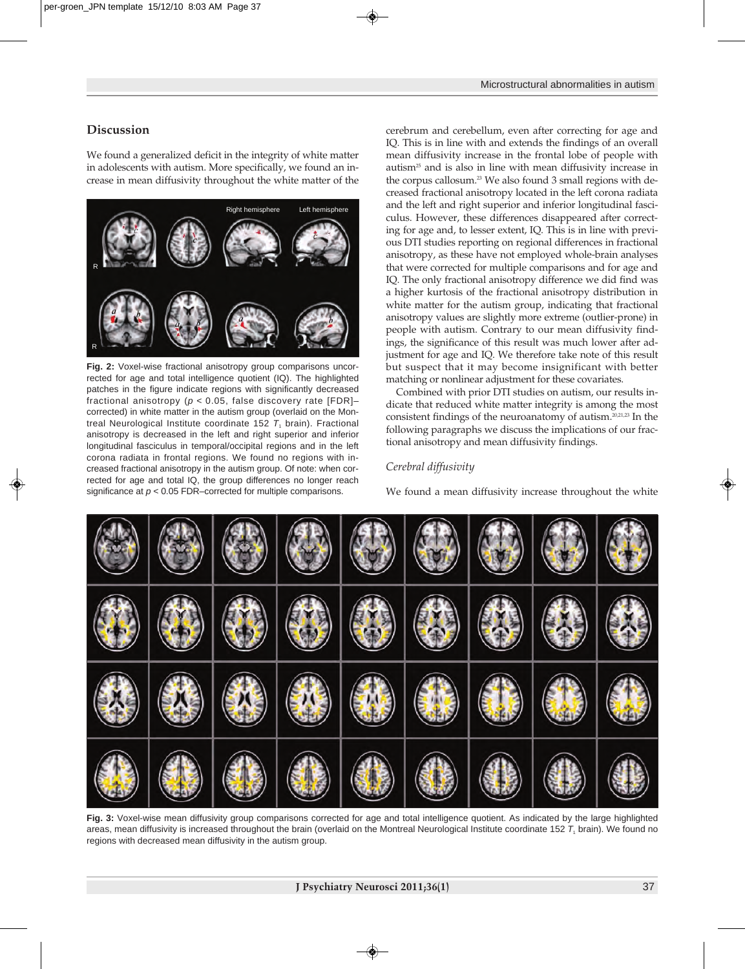## **Discussion**

We found a generalized deficit in the integrity of white matter in adolescents with autism. More specifically, we found an increase in mean diffusivity throughout the white matter of the



**Fig. 2:** Voxel-wise fractional anisotropy group comparisons uncorrected for age and total intelligence quotient (IQ). The highlighted patches in the figure indicate regions with significantly decreased fractional anisotropy (*p* < 0.05, false discovery rate [FDR]– corrected) in white matter in the autism group (overlaid on the Montreal Neurological Institute coordinate 152  $T<sub>1</sub>$  brain). Fractional anisotropy is decreased in the left and right superior and inferior longitudinal fasciculus in temporal/occipital regions and in the left corona radiata in frontal regions. We found no regions with increased fractional anisotropy in the autism group. Of note: when corrected for age and total IQ, the group differences no longer reach significance at *p* < 0.05 FDR–corrected for multiple comparisons.

cerebrum and cerebellum, even after correcting for age and IQ. This is in line with and extends the findings of an overall mean diffusivity increase in the frontal lobe of people with autism25 and is also in line with mean diffusivity increase in the corpus callosum.<sup>23</sup> We also found 3 small regions with decreased fractional anisotropy located in the left corona radiata and the left and right superior and inferior longitudinal fasciculus. However, these differences disappeared after correcting for age and, to lesser extent, IQ. This is in line with previous DTI studies reporting on regional differences in fractional anisotropy, as these have not employed whole-brain analyses that were corrected for multiple comparisons and for age and IQ. The only fractional anisotropy difference we did find was a higher kurtosis of the fractional anisotropy distribution in white matter for the autism group, indicating that fractional anisotropy values are slightly more extreme (outlier-prone) in people with autism. Contrary to our mean diffusivity findings, the significance of this result was much lower after adjustment for age and IQ. We therefore take note of this result but suspect that it may become insignificant with better matching or nonlinear adjustment for these covariates.

Combined with prior DTI studies on autism, our results indicate that reduced white matter integrity is among the most consistent findings of the neuroanatomy of autism.20,21,23 In the following paragraphs we discuss the implications of our fractional anisotropy and mean diffusivity findings.

## *Cerebral diffusivity*

We found a mean diffusivity increase throughout the white



**Fig. 3:** Voxel-wise mean diffusivity group comparisons corrected for age and total intelligence quotient. As indicated by the large highlighted areas, mean diffusivity is increased throughout the brain (overlaid on the Montreal Neurological Institute coordinate 152 T<sub>1</sub> brain). We found no regions with decreased mean diffusivity in the autism group.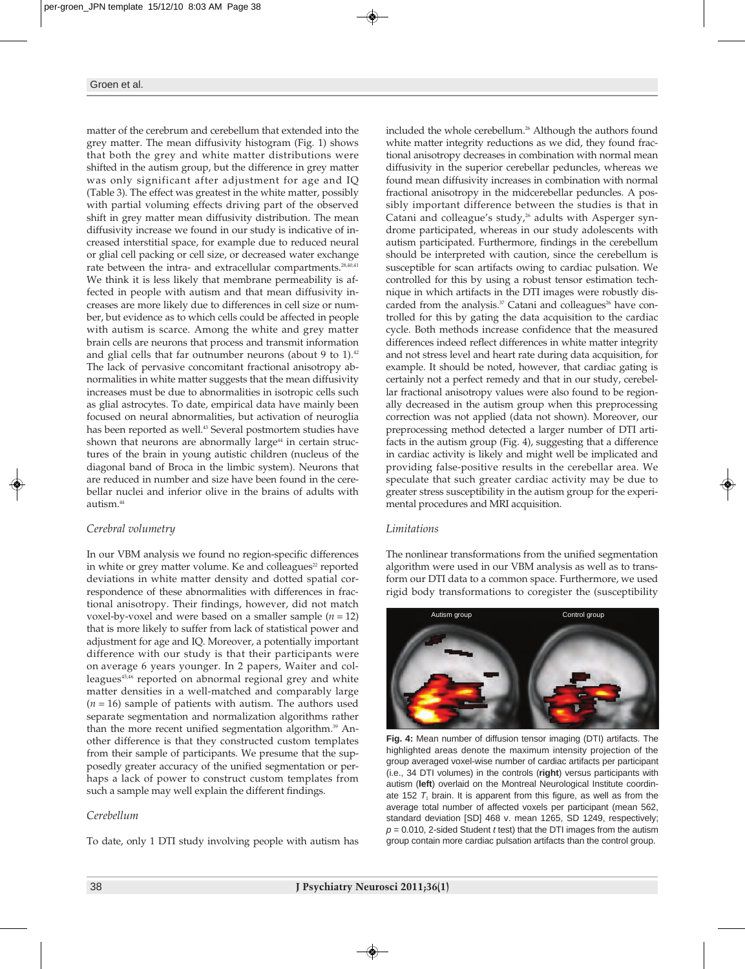matter of the cerebrum and cerebellum that extended into the grey matter. The mean diffusivity histogram (Fig. 1) shows that both the grey and white matter distributions were shifted in the autism group, but the difference in grey matter was only significant after adjustment for age and IQ (Table 3). The effect was greatest in the white matter, possibly with partial voluming effects driving part of the observed shift in grey matter mean diffusivity distribution. The mean diffusivity increase we found in our study is indicative of increased interstitial space, for example due to reduced neural or glial cell packing or cell size, or decreased water exchange rate between the intra- and extracellular compartments.<sup>28,40,41</sup> We think it is less likely that membrane permeability is affected in people with autism and that mean diffusivity increases are more likely due to differences in cell size or number, but evidence as to which cells could be affected in people with autism is scarce. Among the white and grey matter brain cells are neurons that process and transmit information and glial cells that far outnumber neurons (about 9 to 1). $42$ The lack of pervasive concomitant fractional anisotropy abnormalities in white matter suggests that the mean diffusivity increases must be due to abnormalities in isotropic cells such as glial astrocytes. To date, empirical data have mainly been focused on neural abnormalities, but activation of neuroglia has been reported as well.<sup>43</sup> Several postmortem studies have shown that neurons are abnormally large<sup>44</sup> in certain structures of the brain in young autistic children (nucleus of the diagonal band of Broca in the limbic system). Neurons that are reduced in number and size have been found in the cerebellar nuclei and inferior olive in the brains of adults with  $a$ utism $44$ 

# *Cerebral volumetry*

In our VBM analysis we found no region-specific differences in white or grey matter volume. Ke and colleagues<sup> $2$ </sup> reported deviations in white matter density and dotted spatial correspondence of these abnormalities with differences in fractional anisotropy. Their findings, however, did not match voxel-by-voxel and were based on a smaller sample (*n* = 12) that is more likely to suffer from lack of statistical power and adjustment for age and IQ. Moreover, a potentially important difference with our study is that their participants were on average 6 years younger. In 2 papers, Waiter and colleagues<sup>45,46</sup> reported on abnormal regional grey and white matter densities in a well-matched and comparably large (*n* = 16) sample of patients with autism. The authors used separate segmentation and normalization algorithms rather than the more recent unified segmentation algorithm.<sup>39</sup> Another difference is that they constructed custom templates from their sample of participants. We presume that the supposedly greater accuracy of the unified segmentation or perhaps a lack of power to construct custom templates from such a sample may well explain the different findings.

## *Cerebellum*

To date, only 1 DTI study involving people with autism has

included the whole cerebellum.<sup>26</sup> Although the authors found white matter integrity reductions as we did, they found fractional anisotropy decreases in combination with normal mean diffusivity in the superior cerebellar peduncles, whereas we found mean diffusivity increases in combination with normal fractional anisotropy in the midcerebellar peduncles. A possibly important difference between the studies is that in Catani and colleague's study,<sup>26</sup> adults with Asperger syndrome participated, whereas in our study adolescents with autism participated. Furthermore, findings in the cerebellum should be interpreted with caution, since the cerebellum is susceptible for scan artifacts owing to cardiac pulsation. We controlled for this by using a robust tensor estimation technique in which artifacts in the DTI images were robustly discarded from the analysis.<sup>37</sup> Catani and colleagues<sup>26</sup> have controlled for this by gating the data acquisition to the cardiac cycle. Both methods increase confidence that the measured differences indeed reflect differences in white matter integrity and not stress level and heart rate during data acquisition, for example. It should be noted, however, that cardiac gating is certainly not a perfect remedy and that in our study, cerebellar fractional anisotropy values were also found to be regionally decreased in the autism group when this preprocessing correction was not applied (data not shown). Moreover, our preprocessing method detected a larger number of DTI artifacts in the autism group (Fig. 4), suggesting that a difference in cardiac activity is likely and might well be implicated and providing false-positive results in the cerebellar area. We speculate that such greater cardiac activity may be due to greater stress susceptibility in the autism group for the experimental procedures and MRI acquisition.

## *Limitations*

The nonlinear transformations from the unified segmentation algorithm were used in our VBM analysis as well as to transform our DTI data to a common space. Furthermore, we used rigid body transformations to coregister the (susceptibility



**Fig. 4:** Mean number of diffusion tensor imaging (DTI) artifacts. The highlighted areas denote the maximum intensity projection of the group averaged voxel-wise number of cardiac artifacts per participant (i.e., 34 DTI volumes) in the controls (**right**) versus participants with autism (left) overlaid on the Montreal Neurological Institute coordinate 152  $T<sub>1</sub>$  brain. It is apparent from this figure, as well as from the average total number of affected voxels per participant (mean 562, standard deviation [SD] 468 v. mean 1265, SD 1249, respectively; *p* = 0.010, 2-sided Student *t* test) that the DTI images from the autism group contain more cardiac pulsation artifacts than the control group.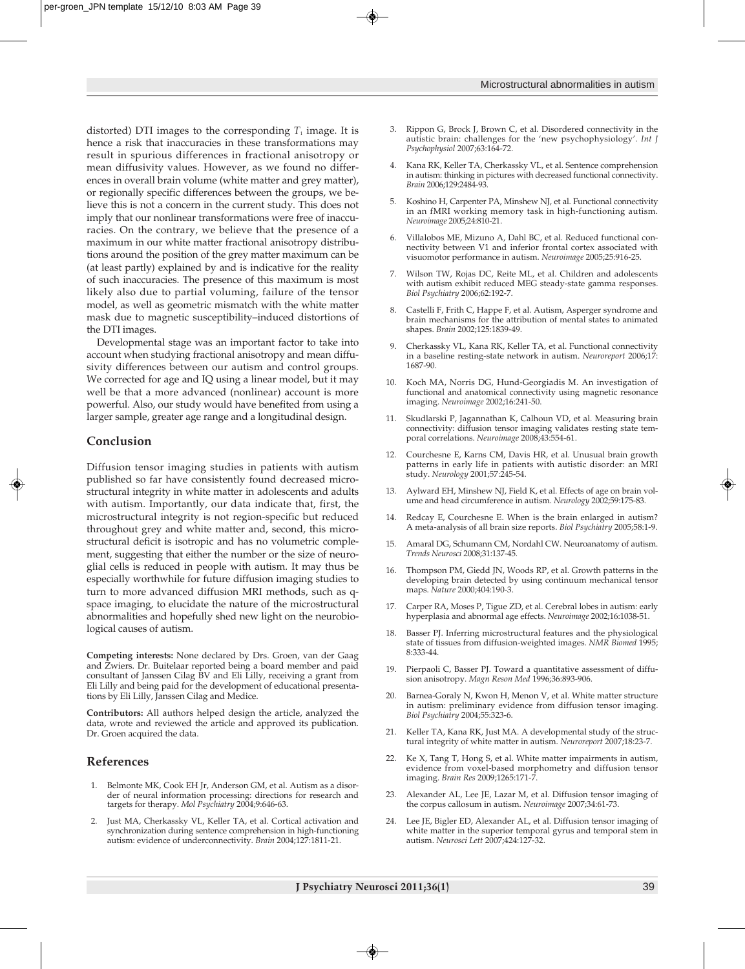distorted) DTI images to the corresponding  $T_1$  image. It is hence a risk that inaccuracies in these transformations may result in spurious differences in fractional anisotropy or mean diffusivity values. However, as we found no differences in overall brain volume (white matter and grey matter), or regionally specific differences between the groups, we believe this is not a concern in the current study. This does not imply that our nonlinear transformations were free of inaccuracies. On the contrary, we believe that the presence of a maximum in our white matter fractional anisotropy distributions around the position of the grey matter maximum can be (at least partly) explained by and is indicative for the reality of such inaccuracies. The presence of this maximum is most likely also due to partial voluming, failure of the tensor model, as well as geometric mismatch with the white matter mask due to magnetic susceptibility–induced distortions of the DTI images.

Developmental stage was an important factor to take into account when studying fractional anisotropy and mean diffusivity differences between our autism and control groups. We corrected for age and IQ using a linear model, but it may well be that a more advanced (nonlinear) account is more powerful. Also, our study would have benefited from using a larger sample, greater age range and a longitudinal design.

#### **Conclusion**

Diffusion tensor imaging studies in patients with autism published so far have consistently found decreased microstructural integrity in white matter in adolescents and adults with autism. Importantly, our data indicate that, first, the microstructural integrity is not region-specific but reduced throughout grey and white matter and, second, this microstructural deficit is isotropic and has no volumetric complement, suggesting that either the number or the size of neuroglial cells is reduced in people with autism. It may thus be especially worthwhile for future diffusion imaging studies to turn to more advanced diffusion MRI methods, such as qspace imaging, to elucidate the nature of the microstructural abnormalities and hopefully shed new light on the neurobiological causes of autism.

**Competing interests:** None declared by Drs. Groen, van der Gaag and Zwiers. Dr. Buitelaar reported being a board member and paid consultant of Janssen Cilag BV and Eli Lilly, receiving a grant from Eli Lilly and being paid for the development of educational presentations by Eli Lilly, Janssen Cilag and Medice.

**Contributors:** All authors helped design the article, analyzed the data, wrote and reviewed the article and approved its publication. Dr. Groen acquired the data.

## **References**

- 1. Belmonte MK, Cook EH Jr, Anderson GM, et al. Autism as a disorder of neural information processing: directions for research and targets for therapy. *Mol Psychiatry* 2004;9:646-63.
- 2. Just MA, Cherkassky VL, Keller TA, et al. Cortical activation and syn chronization during sentence comprehension in high-functioning autism: evidence of underconnectivity. *Brain* 2004;127:1811-21.
- 3. Rippon G, Brock J, Brown C, et al. Disordered connectivity in the autistic brain: challenges for the 'new psychophysiology'. *Int J Psychophysiol* 2007;63:164-72.
- 4. Kana RK, Keller TA, Cherkassky VL, et al. Sentence comprehension in autism: thinking in pictures with decreased functional connectivity. *Brain* 2006;129:2484-93.
- 5. Koshino H, Carpenter PA, Minshew NJ, et al. Functional connectivity in an fMRI working memory task in high-functioning autism. *Neuroimage* 2005;24:810-21.
- 6. Villalobos ME, Mizuno A, Dahl BC, et al. Reduced functional connectivity between V1 and inferior frontal cortex associated with visuomotor performance in autism. *Neuroimage* 2005;25:916-25.
- 7. Wilson TW, Rojas DC, Reite ML, et al. Children and adolescents with autism exhibit reduced MEG steady-state gamma responses. *Biol Psychiatry* 2006;62:192-7.
- Castelli F, Frith C, Happe F, et al. Autism, Asperger syndrome and brain mechanisms for the attribution of mental states to animated shapes. *Brain* 2002;125:1839-49.
- 9. Cherkassky VL, Kana RK, Keller TA, et al. Functional connectivity in a baseline resting-state network in autism. *Neuroreport* 2006;17: 1687-90.
- 10. Koch MA, Norris DG, Hund-Georgiadis M. An investigation of functional and anatomical connectivity using magnetic resonance imaging. *Neuroimage* 2002;16:241-50.
- 11. Skudlarski P, Jagannathan K, Calhoun VD, et al. Measuring brain connectivity: diffusion tensor imaging validates resting state temporal correlations. *Neuroimage* 2008;43:554-61.
- 12. Courchesne E, Karns CM, Davis HR, et al. Unusual brain growth patterns in early life in patients with autistic disorder: an MRI study. *Neurology* 2001;57:245-54.
- 13. Aylward EH, Minshew NJ, Field K, et al. Effects of age on brain volume and head circumference in autism. *Neurology* 2002;59:175-83.
- 14. Redcay E, Courchesne E. When is the brain enlarged in autism? A meta-analysis of all brain size reports. *Biol Psychiatry* 2005;58:1-9.
- 15. Amaral DG, Schumann CM, Nordahl CW. Neuroanatomy of autism. *Trends Neurosci* 2008;31:137-45.
- 16. Thompson PM, Giedd JN, Woods RP, et al. Growth patterns in the developing brain detected by using continuum mechanical tensor maps. *Nature* 2000;404:190-3.
- 17. Carper RA, Moses P, Tigue ZD, et al. Cerebral lobes in autism: early hyperplasia and abnormal age effects. *Neuroimage* 2002;16: 1038-51.
- 18. Basser PJ. Inferring microstructural features and the physiological state of tissues from diffusion-weighted images. *NMR Biomed* 1995; 8:333-44.
- 19. Pierpaoli C, Basser PJ. Toward a quantitative assessment of diffusion anisotropy. *Magn Reson Med* 1996;36:893-906.
- 20. Barnea-Goraly N, Kwon H, Menon V, et al. White matter structure in autism: preliminary evidence from diffusion tensor imaging. *Biol Psychiatry* 2004;55:323-6.
- 21. Keller TA, Kana RK, Just MA. A developmental study of the structural integrity of white matter in autism. *Neuroreport* 2007;18:23-7.
- 22. Ke X, Tang T, Hong S, et al. White matter impairments in autism, evidence from voxel-based morphometry and diffusion tensor imaging. *Brain Res* 2009;1265:171-7.
- 23. Alexander AL, Lee JE, Lazar M, et al. Diffusion tensor imaging of the corpus callosum in autism. *Neuroimage* 2007;34:61-73.
- 24. Lee JE, Bigler ED, Alexander AL, et al. Diffusion tensor imaging of white matter in the superior temporal gyrus and temporal stem in autism. *Neurosci Lett* 2007;424:127-32.